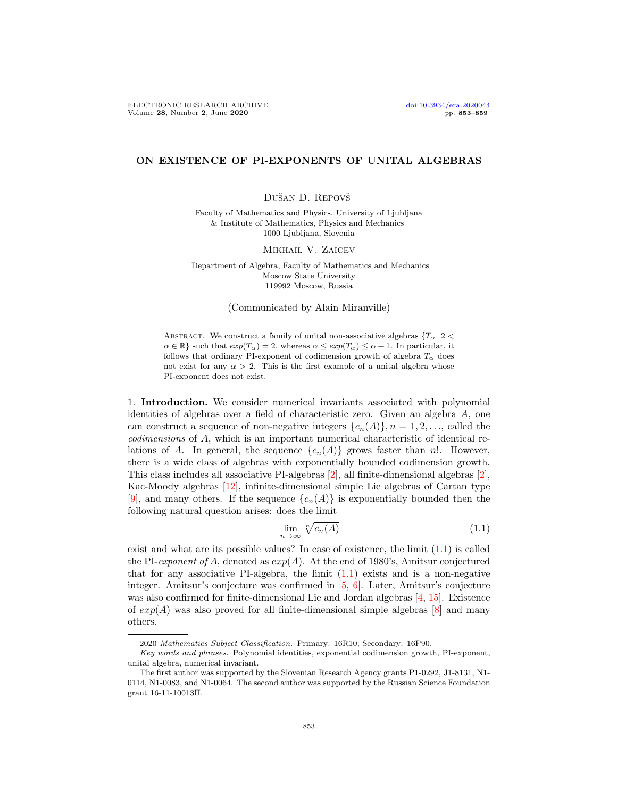## ON EXISTENCE OF PI-EXPONENTS OF UNITAL ALGEBRAS

Dušan D. Repovš

Faculty of Mathematics and Physics, University of Ljubljana & Institute of Mathematics, Physics and Mechanics 1000 Ljubljana, Slovenia

MIKHAIL V. ZAICEV

Department of Algebra, Faculty of Mathematics and Mechanics Moscow State University 119992 Moscow, Russia

(Communicated by Alain Miranville)

ABSTRACT. We construct a family of unital non-associative algebras  ${T_{\alpha} | 2 <$  $\alpha \in \mathbb{R}$  such that  $exp(T_{\alpha}) = 2$ , whereas  $\alpha \leq \overline{exp}(T_{\alpha}) \leq \alpha + 1$ . In particular, it follows that ordinary PI-exponent of codimension growth of algebra  $T_{\alpha}$  does not exist for any  $\alpha > 2$ . This is the first example of a unital algebra whose PI-exponent does not exist.

1. Introduction. We consider numerical invariants associated with polynomial identities of algebras over a field of characteristic zero. Given an algebra A, one can construct a sequence of non-negative integers  $\{c_n(A)\}, n = 1, 2, \ldots$ , called the codimensions of A, which is an important numerical characteristic of identical relations of A. In general, the sequence  $\{c_n(A)\}\$ grows faster than n!. However, there is a wide class of algebras with exponentially bounded codimension growth. This class includes all associative PI-algebras [\[2\]](#page-5-0), all finite-dimensional algebras [\[2\]](#page-5-0), Kac-Moody algebras [\[12\]](#page-5-1), infinite-dimensional simple Lie algebras of Cartan type [\[9\]](#page-5-2), and many others. If the sequence  ${c_n(A)}$  is exponentially bounded then the following natural question arises: does the limit

<span id="page-0-0"></span>
$$
\lim_{n \to \infty} \sqrt[n]{c_n(A)} \tag{1.1}
$$

exist and what are its possible values? In case of existence, the limit  $(1.1)$  is called the PI-exponent of A, denoted as  $exp(A)$ . At the end of 1980's, Amitsur conjectured that for any associative PI-algebra, the limit  $(1.1)$  exists and is a non-negative integer. Amitsur's conjecture was confirmed in [\[5,](#page-5-3) [6\]](#page-5-4). Later, Amitsur's conjecture was also confirmed for finite-dimensional Lie and Jordan algebras [\[4,](#page-5-5) [15\]](#page-5-6). Existence of  $exp(A)$  was also proved for all finite-dimensional simple algebras [\[8\]](#page-5-7) and many others.

<sup>2020</sup> Mathematics Subject Classification. Primary: 16R10; Secondary: 16P90.

Key words and phrases. Polynomial identities, exponential codimension growth, PI-exponent, unital algebra, numerical invariant.

The first author was supported by the Slovenian Research Agency grants P1-0292, J1-8131, N1- 0114, N1-0083, and N1-0064. The second author was supported by the Russian Science Foundation grant 16-11-10013Π.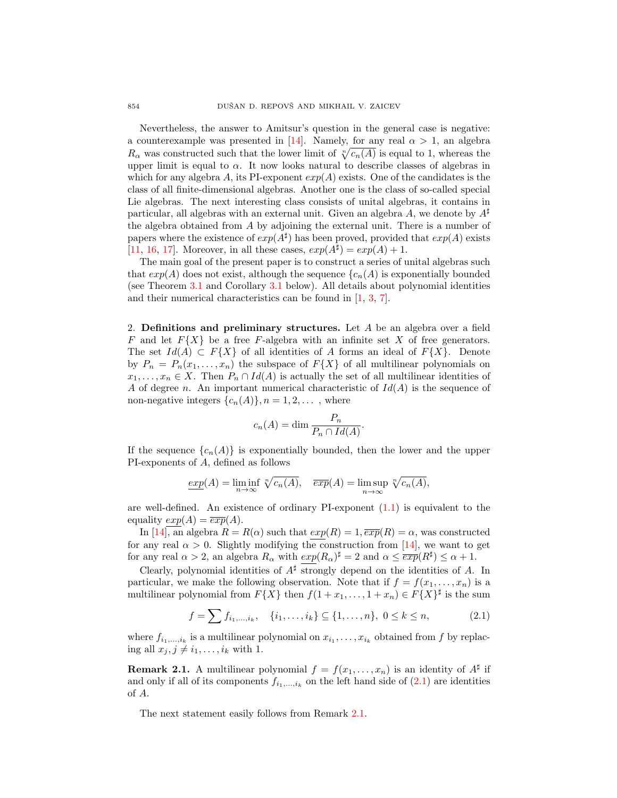Nevertheless, the answer to Amitsur's question in the general case is negative: a counterexample was presented in [\[14\]](#page-5-8). Namely, for any real  $\alpha > 1$ , an algebra  $R_{\alpha}$  was constructed such that the lower limit of  $\sqrt[n]{c_n(A)}$  is equal to 1, whereas the upper limit is equal to  $\alpha$ . It now looks natural to describe classes of algebras in which for any algebra A, its PI-exponent  $exp(A)$  exists. One of the candidates is the class of all finite-dimensional algebras. Another one is the class of so-called special Lie algebras. The next interesting class consists of unital algebras, it contains in particular, all algebras with an external unit. Given an algebra A, we denote by  $A^{\sharp}$ the algebra obtained from A by adjoining the external unit. There is a number of papers where the existence of  $exp(A^{\sharp})$  has been proved, provided that  $exp(A)$  exists [\[11,](#page-5-9) [16,](#page-5-10) [17\]](#page-6-0). Moreover, in all these cases,  $exp(A^{\sharp}) = exp(A) + 1$ .

The main goal of the present paper is to construct a series of unital algebras such that  $exp(A)$  does not exist, although the sequence  $\{c_n(A)\}$  is exponentially bounded (see Theorem [3.1](#page-3-0) and Corollary [3.1](#page-5-11) below). All details about polynomial identities and their numerical characteristics can be found in [\[1,](#page-5-12) [3,](#page-5-13) [7\]](#page-5-14).

2. Definitions and preliminary structures. Let  $A$  be an algebra over a field F and let  $F\{X\}$  be a free F-algebra with an infinite set X of free generators. The set  $Id(A) \subset F\{X\}$  of all identities of A forms an ideal of  $F\{X\}$ . Denote by  $P_n = P_n(x_1, \ldots, x_n)$  the subspace of  $F\{X\}$  of all multilinear polynomials on  $x_1, \ldots, x_n \in X$ . Then  $P_n \cap Id(A)$  is actually the set of all multilinear identities of A of degree n. An important numerical characteristic of  $Id(A)$  is the sequence of non-negative integers  $\{c_n(A)\}, n = 1, 2, \ldots$ , where

$$
c_n(A) = \dim \frac{P_n}{P_n \cap Id(A)}.
$$

If the sequence  $\{c_n(A)\}\$ is exponentially bounded, then the lower and the upper PI-exponents of A, defined as follows

$$
\underline{exp}(A) = \liminf_{n \to \infty} \sqrt[n]{c_n(A)}, \quad \overline{exp}(A) = \limsup_{n \to \infty} \sqrt[n]{c_n(A)},
$$

are well-defined. An existence of ordinary PI-exponent [\(1.1\)](#page-0-0) is equivalent to the equality  $exp(A) = \overline{exp}(A)$ .

In [\[14\]](#page-5-8), an algebra  $R = R(\alpha)$  such that  $exp(R) = 1, \overline{exp}(R) = \alpha$ , was constructed for any real  $\alpha > 0$ . Slightly modifying the construction from [\[14\]](#page-5-8), we want to get for any real  $\alpha > 2$ , an algebra  $R_{\alpha}$  with  $exp(R_{\alpha})^{\sharp} = 2$  and  $\alpha \leq \overline{exp}(R^{\sharp}) \leq \alpha + 1$ .

Clearly, polynomial identities of  $A^{\sharp}$  strongly depend on the identities of A. In particular, we make the following observation. Note that if  $f = f(x_1, \ldots, x_n)$  is a multilinear polynomial from  $F\{X\}$  then  $f(1+x_1,\ldots,1+x_n) \in F\{X\}^{\sharp}$  is the sum

<span id="page-1-0"></span>
$$
f = \sum f_{i_1,\dots,i_k}, \quad \{i_1,\dots,i_k\} \subseteq \{1,\dots,n\}, \ 0 \le k \le n,\tag{2.1}
$$

where  $f_{i_1,\ldots,i_k}$  is a multilinear polynomial on  $x_{i_1},\ldots,x_{i_k}$  obtained from f by replacing all  $x_j, j \neq i_1, \ldots, i_k$  with 1.

<span id="page-1-1"></span>**Remark 2.1.** A multilinear polynomial  $f = f(x_1, \ldots, x_n)$  is an identity of  $A^{\sharp}$  if and only if all of its components  $f_{i_1,\dots,i_k}$  on the left hand side of  $(2.1)$  are identities of A.

The next statement easily follows from Remark [2.1.](#page-1-1)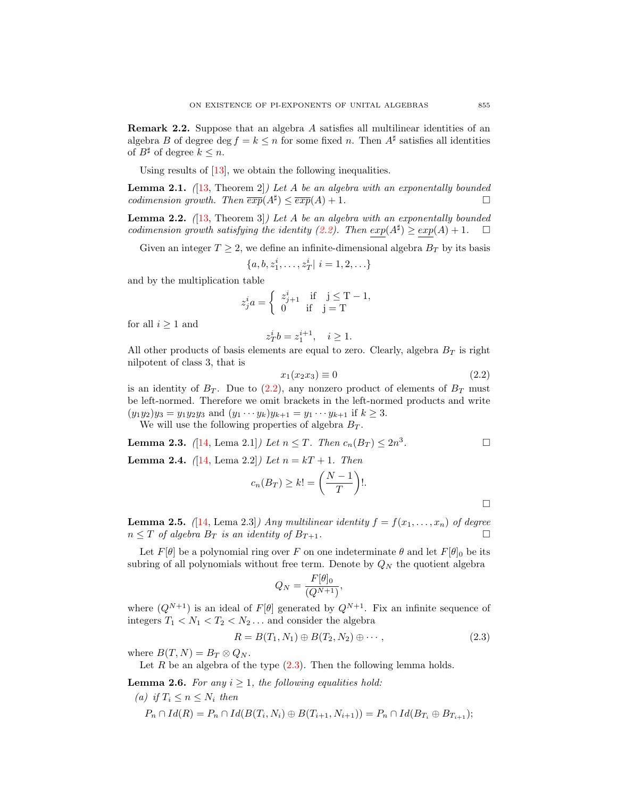Remark 2.2. Suppose that an algebra A satisfies all multilinear identities of an algebra B of degree deg  $f = k \leq n$  for some fixed n. Then  $A^{\sharp}$  satisfies all identities of  $B^{\sharp}$  of degree  $k \leq n$ .

Using results of [\[13\]](#page-5-15), we obtain the following inequalities.

<span id="page-2-6"></span>**Lemma 2.1.** ([\[13,](#page-5-15) Theorem 2]) Let A be an algebra with an exponentally bounded codimension growth. Then  $\overline{exp}(A^{\sharp}) \leq \overline{exp}(A) + 1$ .

<span id="page-2-5"></span>**Lemma 2.2.**  $(13,$  Theorem 3) Let A be an algebra with an exponentally bounded codimension growth satisfying the identity [\(2.2\)](#page-2-0). Then  $exp(A^{\sharp}) \geq exp(A) + 1$ .  $\Box$ 

Given an integer  $T \geq 2$ , we define an infinite-dimensional algebra  $B_T$  by its basis

$$
\{a, b, z_1^i, \dots, z_T^i | i = 1, 2, \dots\}
$$

and by the multiplication table

$$
z_j^i a = \begin{cases} z_{j+1}^i & \text{if } j \leq T-1, \\ 0 & \text{if } j = T \end{cases}
$$

for all  $i \geq 1$  and

$$
z_T^i b = z_1^{i+1}, \quad i \ge 1.
$$

All other products of basis elements are equal to zero. Clearly, algebra  $B_T$  is right nilpotent of class 3, that is

<span id="page-2-0"></span>
$$
x_1(x_2x_3) \equiv 0 \tag{2.2}
$$

is an identity of  $B_T$ . Due to [\(2.2\)](#page-2-0), any nonzero product of elements of  $B_T$  must be left-normed. Therefore we omit brackets in the left-normed products and write  $(y_1y_2)y_3 = y_1y_2y_3$  and  $(y_1 \cdots y_k)y_{k+1} = y_1 \cdots y_{k+1}$  if  $k \ge 3$ .

We will use the following properties of algebra  $B_T$ .

**Lemma 2.3.** ([14, Lema 2.1]) Let 
$$
n \leq T
$$
. Then  $c_n(B_T) \leq 2n^3$ .

<span id="page-2-3"></span>**Lemma 2.4.** ([\[14,](#page-5-8) Lema 2.2]) Let  $n = kT + 1$ . Then

$$
c_n(B_T) \ge k! = \left(\frac{N-1}{T}\right)!.
$$

<span id="page-2-2"></span>**Lemma 2.5.** ([\[14,](#page-5-8) Lema 2.3]) Any multilinear identity  $f = f(x_1, \ldots, x_n)$  of degree  $n \leq T$  of algebra  $B_T$  is an identity of  $B_{T+1}$ .

Let  $F[\theta]$  be a polynomial ring over F on one indeterminate  $\theta$  and let  $F[\theta]_0$  be its subring of all polynomials without free term. Denote by  $Q_N$  the quotient algebra

$$
Q_N = \frac{F[\theta]_0}{(Q^{N+1})},
$$

where  $(Q^{N+1})$  is an ideal of  $F[\theta]$  generated by  $Q^{N+1}$ . Fix an infinite sequence of integers  $T_1 < N_1 < T_2 < N_2 \ldots$  and consider the algebra

<span id="page-2-1"></span>
$$
R = B(T_1, N_1) \oplus B(T_2, N_2) \oplus \cdots,
$$
\n
$$
(2.3)
$$

where  $B(T, N) = B_T \otimes Q_N$ .

Let R be an algebra of the type  $(2.3)$ . Then the following lemma holds.

<span id="page-2-4"></span>**Lemma 2.6.** For any  $i \geq 1$ , the following equalities hold:

(a) if 
$$
T_i \le n \le N_i
$$
 then  
\n $P_n \cap Id(R) = P_n \cap Id(B(T_i, N_i) \oplus B(T_{i+1}, N_{i+1})) = P_n \cap Id(B_{T_i} \oplus B_{T_{i+1}});$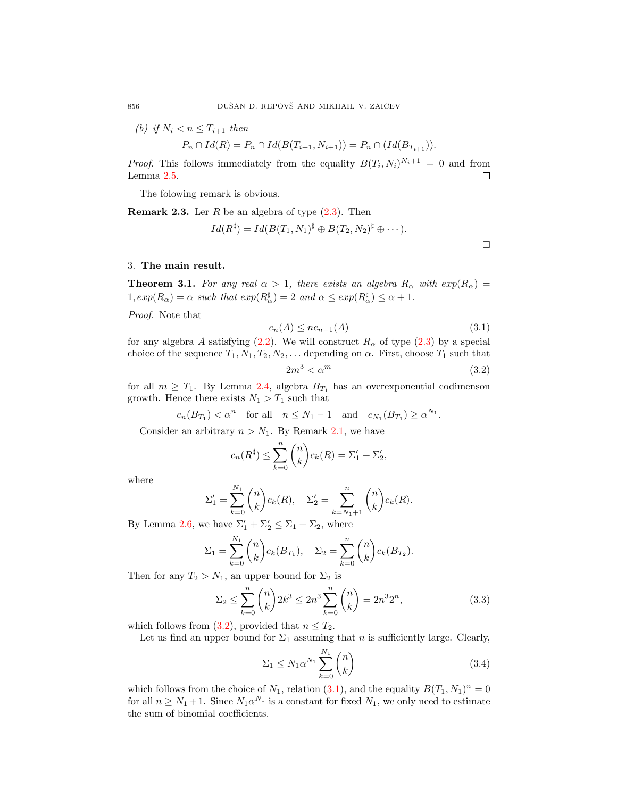(b) if  $N_i < n \leq T_{i+1}$  then

$$
P_n \cap Id(R) = P_n \cap Id(B(T_{i+1}, N_{i+1})) = P_n \cap (Id(B_{T_{i+1}})).
$$

*Proof.* This follows immediately from the equality  $B(T_i, N_i)^{N_i+1} = 0$  and from Lemma [2.5.](#page-2-2)  $\Box$ 

The folowing remark is obvious.

**Remark 2.3.** Ler  $R$  be an algebra of type  $(2.3)$ . Then

$$
Id(R^{\sharp}) = Id(B(T_1, N_1)^{\sharp} \oplus B(T_2, N_2)^{\sharp} \oplus \cdots).
$$

## 3. The main result.

<span id="page-3-0"></span>**Theorem 3.1.** For any real  $\alpha > 1$ , there exists an algebra  $R_{\alpha}$  with  $exp(R_{\alpha}) =$  $1, \overline{exp}(R_{\alpha}) = \alpha$  such that  $\overline{exp}(R_{\alpha}^{\sharp}) = 2$  and  $\alpha \leq \overline{exp}(R_{\alpha}^{\sharp}) \leq \alpha + 1$ .

Proof. Note that

<span id="page-3-2"></span>
$$
c_n(A) \leq nc_{n-1}(A) \tag{3.1}
$$

for any algebra A satisfying  $(2.2)$ . We will construct  $R_{\alpha}$  of type  $(2.3)$  by a special choice of the sequence  $T_1, N_1, T_2, N_2, \ldots$  depending on  $\alpha$ . First, choose  $T_1$  such that

<span id="page-3-1"></span>
$$
2m^3 < \alpha^m \tag{3.2}
$$

for all  $m \geq T_1$ . By Lemma [2.4,](#page-2-3) algebra  $B_{T_1}$  has an overexponential codimenson growth. Hence there exists  $N_1 > T_1$  such that

$$
c_n(B_{T_1}) < \alpha^n
$$
 for all  $n \le N_1 - 1$  and  $c_{N_1}(B_{T_1}) \ge \alpha^{N_1}$ .

Consider an arbitrary  $n > N_1$ . By Remark [2.1,](#page-1-1) we have

$$
c_n(R^{\sharp}) \le \sum_{k=0}^n {n \choose k} c_k(R) = \Sigma'_1 + \Sigma'_2,
$$

where

$$
\Sigma_1' = \sum_{k=0}^{N_1} {n \choose k} c_k(R), \quad \Sigma_2' = \sum_{k=N_1+1}^{n} {n \choose k} c_k(R).
$$

By Lemma [2.6,](#page-2-4) we have  $\Sigma'_1 + \Sigma'_2 \leq \Sigma_1 + \Sigma_2$ , where

$$
\Sigma_1 = \sum_{k=0}^{N_1} {n \choose k} c_k(B_{T_1}), \quad \Sigma_2 = \sum_{k=0}^{n} {n \choose k} c_k(B_{T_2}).
$$

Then for any  $T_2 > N_1$ , an upper bound for  $\Sigma_2$  is

<span id="page-3-4"></span>
$$
\Sigma_2 \le \sum_{k=0}^n \binom{n}{k} 2k^3 \le 2n^3 \sum_{k=0}^n \binom{n}{k} = 2n^3 2^n,
$$
\n(3.3)

which follows from [\(3.2\)](#page-3-1), provided that  $n \leq T_2$ .

Let us find an upper bound for  $\Sigma_1$  assuming that n is sufficiently large. Clearly,

<span id="page-3-3"></span>
$$
\Sigma_1 \le N_1 \alpha^{N_1} \sum_{k=0}^{N_1} \binom{n}{k} \tag{3.4}
$$

which follows from the choice of  $N_1$ , relation [\(3.1\)](#page-3-2), and the equality  $B(T_1, N_1)^n = 0$ for all  $n \geq N_1 + 1$ . Since  $N_1 \alpha^{N_1}$  is a constant for fixed  $N_1$ , we only need to estimate the sum of binomial coefficients.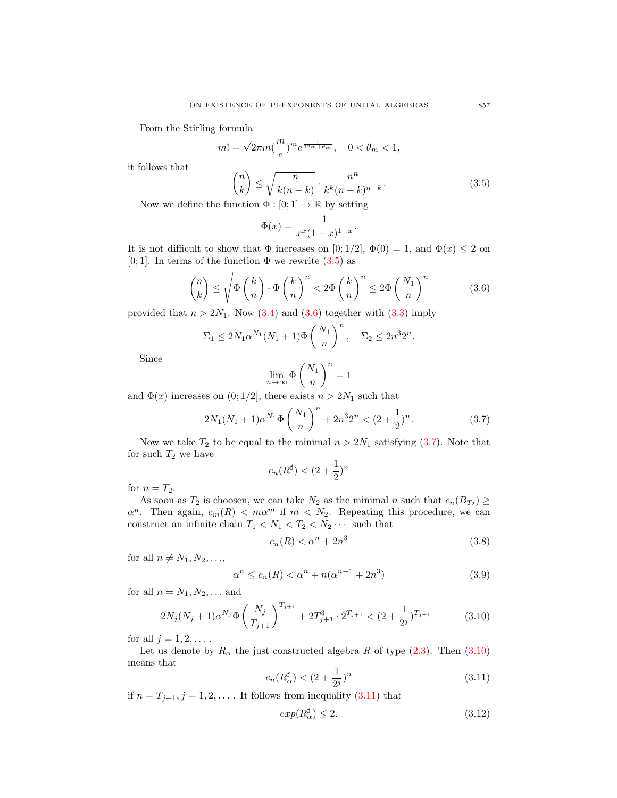From the Stirling formula

$$
m! = \sqrt{2\pi m} \left(\frac{m}{e}\right)^m e^{\frac{1}{12m + \theta_m}}, \quad 0 < \theta_m < 1,
$$

it follows that

<span id="page-4-0"></span>
$$
\binom{n}{k} \le \sqrt{\frac{n}{k(n-k)}} \cdot \frac{n^n}{k^k(n-k)^{n-k}}.
$$
\n
$$
\text{function } \Phi : [0:1] \to \mathbb{R} \text{ by setting}
$$
\n
$$
\text{(3.5)}
$$

Now we define the function  $\Phi:[0;1]\rightarrow \mathbb{R}$  by setting

$$
\Phi(x) = \frac{1}{x^x (1-x)^{1-x}}.
$$

It is not difficult to show that  $\Phi$  increases on [0; 1/2],  $\Phi(0) = 1$ , and  $\Phi(x) \le 2$  on [0; 1]. In terms of the function  $\Phi$  we rewrite  $(3.5)$  as

<span id="page-4-1"></span>
$$
\binom{n}{k} \le \sqrt{\Phi\left(\frac{k}{n}\right)} \cdot \Phi\left(\frac{k}{n}\right)^n < 2\Phi\left(\frac{k}{n}\right)^n \le 2\Phi\left(\frac{N_1}{n}\right)^n \tag{3.6}
$$

provided that  $n > 2N_1$ . Now [\(3.4\)](#page-3-3) and [\(3.6\)](#page-4-1) together with [\(3.3\)](#page-3-4) imply

$$
\Sigma_1 \le 2N_1 \alpha^{N_1} (N_1 + 1) \Phi \left(\frac{N_1}{n}\right)^n, \quad \Sigma_2 \le 2n^3 2^n.
$$

Since

$$
\lim_{n\to\infty}\Phi\left(\frac{N_1}{n}\right)^n=1
$$

and  $\Phi(x)$  increases on  $(0; 1/2]$ , there exists  $n > 2N_1$  such that

<span id="page-4-2"></span>
$$
2N_1(N_1+1)\alpha^{N_1}\Phi\left(\frac{N_1}{n}\right)^n + 2n^32^n < (2+\frac{1}{2})^n. \tag{3.7}
$$

Now we take  $T_2$  to be equal to the minimal  $n > 2N_1$  satisfying [\(3.7\)](#page-4-2). Note that for such  $T_2$  we have

$$
c_n(R^{\sharp}) < (2 + \frac{1}{2})^n
$$

for  $n = T_2$ .

As soon as  $T_2$  is choosen, we can take  $N_2$  as the minimal n such that  $c_n(B_{T_2}) \geq$  $\alpha^n$ . Then again,  $c_m(R) < m\alpha^m$  if  $m < N_2$ . Repeating this procedure, we can construct an infinite chain  $T_1 < N_1 < T_2 < N_2 \cdots$  such that

<span id="page-4-6"></span>
$$
c_n(R) < \alpha^n + 2n^3 \tag{3.8}
$$

for all  $n \neq N_1, N_2, \ldots$ ,

<span id="page-4-7"></span>
$$
\alpha^{n} \le c_{n}(R) < \alpha^{n} + n(\alpha^{n-1} + 2n^{3})\tag{3.9}
$$

for all  $n = N_1, N_2, \ldots$  and

<span id="page-4-3"></span>
$$
2N_j(N_j+1)\alpha^{N_j}\Phi\left(\frac{N_j}{T_{j+1}}\right)^{T_{j+1}} + 2T_{j+1}^3 \cdot 2^{T_{j+1}} < (2+\frac{1}{2^j})^{T_{j+1}}\tag{3.10}
$$

for all  $j = 1, 2, \ldots$ .

Let us denote by  $R_{\alpha}$  the just constructed algebra R of type [\(2.3\)](#page-2-1). Then [\(3.10\)](#page-4-3) means that

<span id="page-4-4"></span>
$$
c_n(R_{\alpha}^{\sharp}) < (2 + \frac{1}{2^j})^n
$$
\n(3.11)

if  $n = T_{j+1}, j = 1, 2, \ldots$ . It follows from inequality  $(3.11)$  that

<span id="page-4-5"></span>
$$
\exp(R_{\alpha}^{\sharp}) \le 2. \tag{3.12}
$$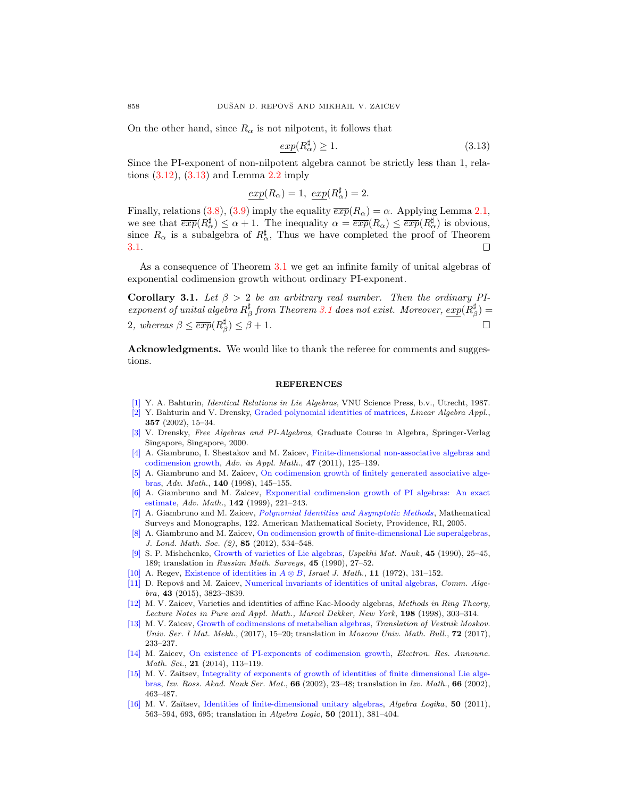On the other hand, since  $R_{\alpha}$  is not nilpotent, it follows that

<span id="page-5-16"></span>
$$
\exp(R_{\alpha}^{\sharp}) \ge 1. \tag{3.13}
$$

Since the PI-exponent of non-nilpotent algebra cannot be strictly less than 1, relations  $(3.12)$ ,  $(3.13)$  and Lemma [2.2](#page-2-5) imply

$$
\underline{exp}(R_{\alpha}) = 1, \ \underline{exp}(R_{\alpha}^{\sharp}) = 2.
$$

Finally, relations [\(3.8\)](#page-4-6), [\(3.9\)](#page-4-7) imply the equality  $\overline{exp}(R_{\alpha}) = \alpha$ . Applying Lemma [2.1,](#page-2-6) we see that  $\overline{exp}(R_{\alpha}^{\sharp}) \leq \alpha + 1$ . The inequality  $\alpha = \overline{exp}(R_{\alpha}) \leq \overline{exp}(R_{\alpha}^{\sharp})$  is obvious, since  $R_{\alpha}$  is a subalgebra of  $R_{\alpha}^{\sharp}$ , Thus we have completed the proof of Theorem [3.1.](#page-3-0) □

As a consequence of Theorem [3.1](#page-3-0) we get an infinite family of unital algebras of exponential codimension growth without ordinary PI-exponent.

<span id="page-5-11"></span>Corollary 3.1. Let  $\beta > 2$  be an arbitrary real number. Then the ordinary PIexponent of unital algebra  $R^{\sharp}_{\beta}$  from Theorem [3.1](#page-3-0) does not exist. Moreover,  $\exp(R_{\beta}^{\sharp})=$ 2, whereas  $\beta \leq \overline{exp}(R_{\beta}^{\sharp}) \leq \beta + 1$ .

Acknowledgments. We would like to thank the referee for comments and suggestions.

## **REFERENCES**

- <span id="page-5-12"></span>[\[1\]](http://www.ams.org/mathscinet-getitem?mr=MR0886063&return=pdf) Y. A. Bahturin, Identical Relations in Lie Algebras, VNU Science Press, b.v., Utrecht, 1987.
- <span id="page-5-0"></span>[\[2\]](http://www.ams.org/mathscinet-getitem?mr=MR1935223&return=pdf) Y. Bahturin and V. Drensky, [Graded polynomial identities of matrices,](http://dx.doi.org/10.1016/S0024-3795(02)00356-7) Linear Algebra Appl., 357 (2002), 15–34.
- <span id="page-5-13"></span>[\[3\]](http://www.ams.org/mathscinet-getitem?mr=MR1712064&return=pdf) V. Drensky, Free Algebras and PI-Algebras, Graduate Course in Algebra, Springer-Verlag Singapore, Singapore, 2000.
- <span id="page-5-5"></span>[\[4\]](http://www.ams.org/mathscinet-getitem?mr=MR2799615&return=pdf) A. Giambruno, I. Shestakov and M. Zaicev, [Finite-dimensional non-associative algebras and](http://dx.doi.org/10.1016/j.aam.2010.04.007) [codimension growth,](http://dx.doi.org/10.1016/j.aam.2010.04.007) Adv. in Appl. Math.,  $47$  (2011), 125–139.
- <span id="page-5-3"></span>[\[5\]](http://www.ams.org/mathscinet-getitem?mr=MR1658530&return=pdf) A. Giambruno and M. Zaicev, [On codimension growth of finitely generated associative alge](http://dx.doi.org/10.1006/aima.1998.1766)[bras,](http://dx.doi.org/10.1006/aima.1998.1766) Adv. Math., 140 (1998), 145–155.
- <span id="page-5-4"></span>[\[6\]](http://www.ams.org/mathscinet-getitem?mr=MR1680198&return=pdf) A. Giambruno and M. Zaicev, [Exponential codimension growth of PI algebras: An exact](http://dx.doi.org/10.1006/aima.1998.1790) [estimate,](http://dx.doi.org/10.1006/aima.1998.1790) Adv. Math., 142 (1999), 221–243.
- <span id="page-5-14"></span>[\[7\]](http://www.ams.org/mathscinet-getitem?mr=MR2176105&return=pdf) A. Giambruno and M. Zaicev, [Polynomial Identities and Asymptotic Methods](http://dx.doi.org/10.1090/surv/122), Mathematical Surveys and Monographs, 122. American Mathematical Society, Providence, RI, 2005.
- <span id="page-5-7"></span>[\[8\]](http://www.ams.org/mathscinet-getitem?mr=MR2901077&return=pdf) A. Giambruno and M. Zaicev, [On codimension growth of finite-dimensional Lie superalgebras,](http://dx.doi.org/10.1112/jlms/jdr059) J. Lond. Math. Soc. (2), 85 (2012), 534–548.
- <span id="page-5-2"></span>[\[9\]](http://www.ams.org/mathscinet-getitem?mr=MR1101331&return=pdf) S. P. Mishchenko, [Growth of varieties of Lie algebras,](http://dx.doi.org/10.1070/RM1990v045n06ABEH002710) Uspekhi Mat. Nauk, 45 (1990), 25–45, 189; translation in Russian Math. Surveys, 45 (1990), 27-52.
- [\[10\]](http://www.ams.org/mathscinet-getitem?mr=MR0314893&return=pdf) A. Regev, [Existence of identities in](http://dx.doi.org/10.1007/BF02762615)  $A \otimes B$ , Israel J. Math., 11 (1972), 131–152.
- <span id="page-5-9"></span>[\[11\]](http://www.ams.org/mathscinet-getitem?mr=MR3360850&return=pdf) D. Repovš and M. Zaicev, [Numerical invariants of identities of unital algebras,](http://dx.doi.org/10.1080/00927872.2014.924130) Comm. Algebra, 43 (2015), 3823–3839.
- <span id="page-5-1"></span>[\[12\]](http://www.ams.org/mathscinet-getitem?mr=MR1767987&return=pdf) M. V. Zaicev, Varieties and identities of affine Kac-Moody algebras, Methods in Ring Theory, Lecture Notes in Pure and Appl. Math., Marcel Dekker, New York, 198 (1998), 303–314.
- <span id="page-5-15"></span>[\[13\]](http://www.ams.org/mathscinet-getitem?mr=MR3748428&return=pdf) M. V. Zaicev, [Growth of codimensions of metabelian algebras,](http://dx.doi.org/10.3103/S0027132217060031) Translation of Vestnik Moskov. Univ. Ser. I Mat. Mekh.,  $(2017)$ , 15–20; translation in Moscow Univ. Math. Bull., **72** (2017), 233–237.
- <span id="page-5-8"></span>[\[14\]](http://www.ams.org/mathscinet-getitem?mr=MR3260134&return=pdf) M. Zaicev, [On existence of PI-exponents of codimension growth,](http://dx.doi.org/10.3934/era.2014.21.113) Electron. Res. Announc. Math. Sci., 21 (2014), 113-119.
- <span id="page-5-6"></span>[\[15\]](http://www.ams.org/mathscinet-getitem?mr=MR1921808&return=pdf) M. V. Zaĭtsev, [Integrality of exponents of growth of identities of finite dimensional Lie alge](http://dx.doi.org/10.1070/IM2002v066n03ABEH000386)[bras,](http://dx.doi.org/10.1070/IM2002v066n03ABEH000386) Izv. Ross. Akad. Nauk Ser. Mat., 66 (2002), 23–48; translation in Izv. Math., 66 (2002), 463–487.
- <span id="page-5-10"></span>[\[16\]](http://www.ams.org/mathscinet-getitem?mr=MR2907408&return=pdf) M. V. Zaĭtsev, [Identities of finite-dimensional unitary algebras,](http://dx.doi.org/10.1007/s10469-011-9151-8) Algebra Logika, 50 (2011), 563–594, 693, 695; translation in Algebra Logic, 50 (2011), 381–404.